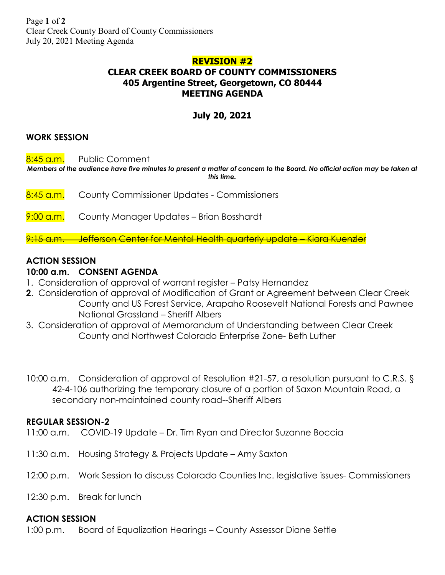# **REVISION #2 CLEAR CREEK BOARD OF COUNTY COMMISSIONERS 405 Argentine Street, Georgetown, CO 80444 MEETING AGENDA**

# **July 20, 2021**

## **WORK SESSION**

8:45 a.m. Public Comment

*Members of the audience have five minutes to present a matter of concern to the Board. No official action may be taken at this time.*

- 8:45 a.m. County Commissioner Updates Commissioners
- 9:00 a.m. County Manager Updates Brian Bosshardt

9:15 a.m. Jefferson Center for Mental Health quarterly update – Kiara Kuenzler

## **ACTION SESSION**

### **10:00 a.m. CONSENT AGENDA**

- 1. Consideration of approval of warrant register Patsy Hernandez
- **2**. Consideration of approval of Modification of Grant or Agreement between Clear Creek County and US Forest Service, Arapaho Roosevelt National Forests and Pawnee National Grassland – Sheriff Albers
- 3. Consideration of approval of Memorandum of Understanding between Clear Creek County and Northwest Colorado Enterprise Zone- Beth Luther
- 10:00 a.m. Consideration of approval of Resolution #21-57, a resolution pursuant to C.R.S. § 42-4-106 authorizing the temporary closure of a portion of Saxon Mountain Road, a secondary non-maintained county road--Sheriff Albers

#### **REGULAR SESSION-2**

- 11:00 a.m. COVID-19 Update Dr. Tim Ryan and Director Suzanne Boccia
- 11:30 a.m. Housing Strategy & Projects Update Amy Saxton
- 12:00 p.m. Work Session to discuss Colorado Counties Inc. legislative issues- Commissioners
- 12:30 p.m. Break for lunch

## **ACTION SESSION**

1:00 p.m. Board of Equalization Hearings – County Assessor Diane Settle